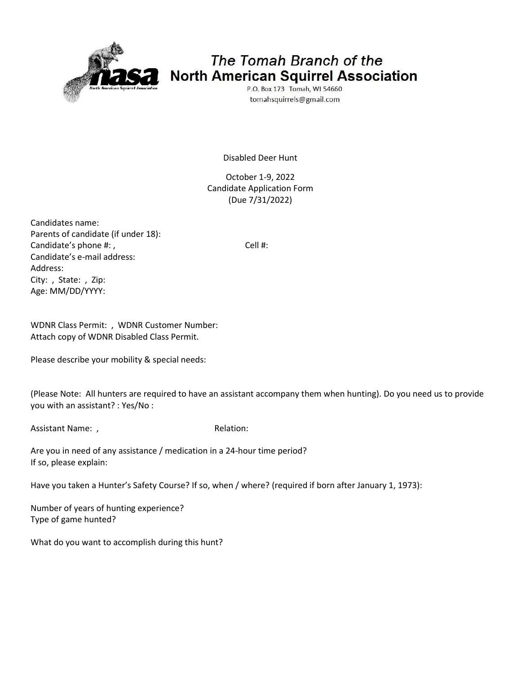

## The Tomah Branch of the North American Squirrel Association

P.O. Box 173 Tomah, WI 54660 tomahsquirrels@gmail.com

Disabled Deer Hunt

October 1-9, 2022 Candidate Application Form (Due 7/31/2022)

Candidates name: Parents of candidate (if under 18): Candidate's phone #: , Candidate's phone #: , Candidate's e-mail address: Address: City: , State: , Zip: Age: MM/DD/YYYY:

WDNR Class Permit: , WDNR Customer Number: Attach copy of WDNR Disabled Class Permit.

Please describe your mobility & special needs:

(Please Note: All hunters are required to have an assistant accompany them when hunting). Do you need us to provide you with an assistant? : Yes/No :

Assistant Name: , and the contract of the Relation:

Are you in need of any assistance / medication in a 24-hour time period? If so, please explain:

Have you taken a Hunter's Safety Course? If so, when / where? (required if born after January 1, 1973):

Number of years of hunting experience? Type of game hunted?

What do you want to accomplish during this hunt?